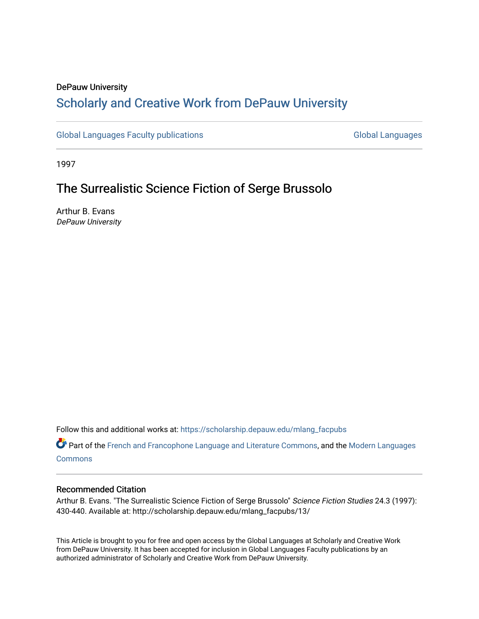# DePauw University

# Scholarly and [Creative Work from DePauw Univ](https://scholarship.depauw.edu/)ersity

[Global Languages Faculty publications](https://scholarship.depauw.edu/mlang_facpubs) [Global Languages](https://scholarship.depauw.edu/modernlanguages) Global Languages

1997

# The Surrealistic Science Fiction of Serge Brussolo

Arthur B. Evans DePauw University

Follow this and additional works at: [https://scholarship.depauw.edu/mlang\\_facpubs](https://scholarship.depauw.edu/mlang_facpubs?utm_source=scholarship.depauw.edu%2Fmlang_facpubs%2F13&utm_medium=PDF&utm_campaign=PDFCoverPages)

Part of the [French and Francophone Language and Literature Commons,](https://network.bepress.com/hgg/discipline/463?utm_source=scholarship.depauw.edu%2Fmlang_facpubs%2F13&utm_medium=PDF&utm_campaign=PDFCoverPages) and the [Modern Languages](https://network.bepress.com/hgg/discipline/1130?utm_source=scholarship.depauw.edu%2Fmlang_facpubs%2F13&utm_medium=PDF&utm_campaign=PDFCoverPages)  **[Commons](https://network.bepress.com/hgg/discipline/1130?utm_source=scholarship.depauw.edu%2Fmlang_facpubs%2F13&utm_medium=PDF&utm_campaign=PDFCoverPages)** 

# Recommended Citation

Arthur B. Evans. "The Surrealistic Science Fiction of Serge Brussolo" Science Fiction Studies 24.3 (1997): 430-440. Available at: http://scholarship.depauw.edu/mlang\_facpubs/13/

This Article is brought to you for free and open access by the Global Languages at Scholarly and Creative Work from DePauw University. It has been accepted for inclusion in Global Languages Faculty publications by an authorized administrator of Scholarly and Creative Work from DePauw University.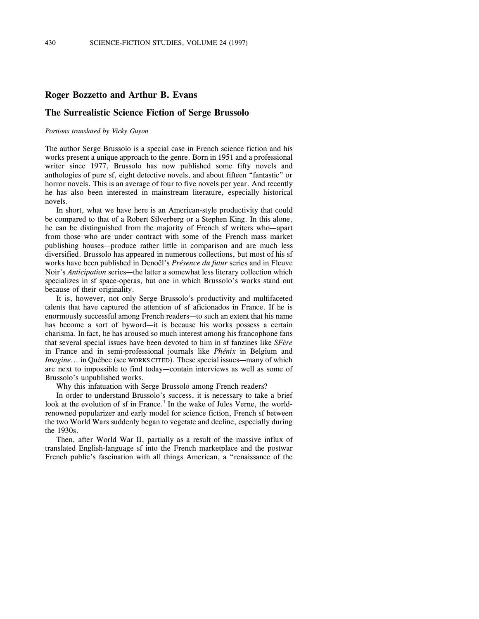## **Roger Bozzetto and Arthur B. Evans**

## **The Surrealistic Science Fiction of Serge Brussolo**

### *Portions translated by Vicky Guyon*

The author Serge Brussolo is a special case in French science fiction and his works present a unique approach to the genre. Born in 1951 and a professional writer since 1977, Brussolo has now published some fifty novels and anthologies of pure sf, eight detective novels, and about fifteen "fantastic" or horror novels. This is an average of four to five novels per year. And recently he has also been interested in mainstream literature, especially historical novels.

In short, what we have here is an American-style productivity that could be compared to that of a Robert Silverberg or a Stephen King. In this alone, he can be distinguished from the majority of French sf writers who—apart from those who are under contract with some of the French mass market publishing houses—produce rather little in comparison and are much less diversified. Brussolo has appeared in numerous collections, but most of his sf works have been published in Denoël's *Présence du futur* series and in Fleuve Noir's *Anticipation* series—the latter a somewhat less literary collection which specializes in sf space-operas, but one in which Brussolo's works stand out because of their originality.

It is, however, not only Serge Brussolo's productivity and multifaceted talents that have captured the attention of sf aficionados in France. If he is enormously successful among French readers—to such an extent that his name has become a sort of byword—it is because his works possess a certain charisma. In fact, he has aroused so much interest among his francophone fans that several special issues have been devoted to him in sf fanzines like *SFère* in France and in semi-professional journals like *Phénix* in Belgium and *Imagine...* in Québec (see WORKSCITED). These special issues—many of which are next to impossible to find today—contain interviews as well as some of Brussolo's unpublished works.

Why this infatuation with Serge Brussolo among French readers?

In order to understand Brussolo's success, it is necessary to take a brief look at the evolution of sf in France.<sup>1</sup> In the wake of Jules Verne, the worldrenowned popularizer and early model for science fiction, French sf between the two World Wars suddenly began to vegetate and decline, especially during the 1930s.

Then, after World War II, partially as a result of the massive influx of translated English-language sf into the French marketplace and the postwar French public's fascination with all things American, a "renaissance of the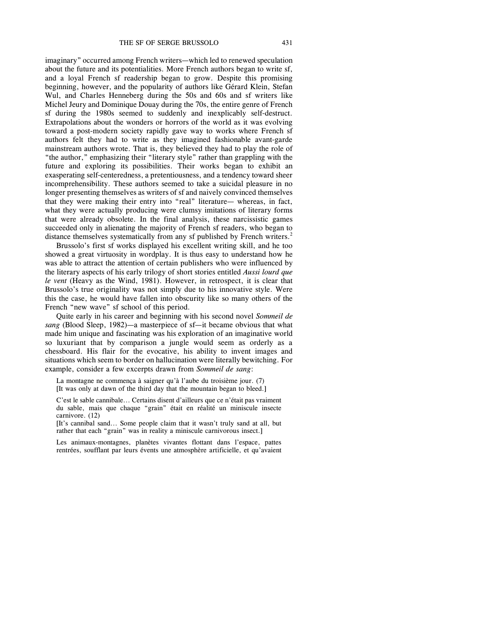imaginary" occurred among French writers—which led to renewed speculation about the future and its potentialities. More French authors began to write sf, and a loyal French sf readership began to grow. Despite this promising beginning, however, and the popularity of authors like Gérard Klein, Stefan Wul, and Charles Henneberg during the 50s and 60s and sf writers like Michel Jeury and Dominique Douay during the 70s, the entire genre of French sf during the 1980s seemed to suddenly and inexplicably self-destruct. Extrapolations about the wonders or horrors of the world as it was evolving toward a post-modern society rapidly gave way to works where French sf authors felt they had to write as they imagined fashionable avant-garde mainstream authors wrote. That is, they believed they had to play the role of "the author," emphasizing their "literary style" rather than grappling with the future and exploring its possibilities. Their works began to exhibit an exasperating self-centeredness, a pretentiousness, and a tendency toward sheer incomprehensibility. These authors seemed to take a suicidal pleasure in no longer presenting themselves as writers of sf and naively convinced themselves that they were making their entry into "real" literature— whereas, in fact, what they were actually producing were clumsy imitations of literary forms that were already obsolete. In the final analysis, these narcissistic games succeeded only in alienating the majority of French sf readers, who began to distance themselves systematically from any sf published by French writers.<sup>2</sup>

Brussolo's first sf works displayed his excellent writing skill, and he too showed a great virtuosity in wordplay. It is thus easy to understand how he was able to attract the attention of certain publishers who were influenced by the literary aspects of his early trilogy of short stories entitled *Aussi lourd que le vent* (Heavy as the Wind, 1981). However, in retrospect, it is clear that Brussolo's true originality was not simply due to his innovative style. Were this the case, he would have fallen into obscurity like so many others of the French "new wave" sf school of this period.

Quite early in his career and beginning with his second novel *Sommeil de sang* (Blood Sleep, 1982)—a masterpiece of sf—it became obvious that what made him unique and fascinating was his exploration of an imaginative world so luxuriant that by comparison a jungle would seem as orderly as a chessboard. His flair for the evocative, his ability to invent images and situations which seem to border on hallucination were literally bewitching. For example, consider a few excerpts drawn from *Sommeil de sang*:

La montagne ne commença à saigner qu'à l'aube du troisième jour. (7) [It was only at dawn of the third day that the mountain began to bleed.]

C'est le sable cannibale... Certains disent d'ailleurs que ce n'était pas vraiment du sable, mais que chaque "grain" était en réalité un miniscule insecte carnivore. (12)

[It's cannibal sand... Some people claim that it wasn't truly sand at all, but rather that each "grain" was in reality a miniscule carnivorous insect.]

Les animaux-montagnes, planètes vivantes flottant dans l'espace, pattes rentrées, soufflant par leurs évents une atmosphère artificielle, et qu'avaient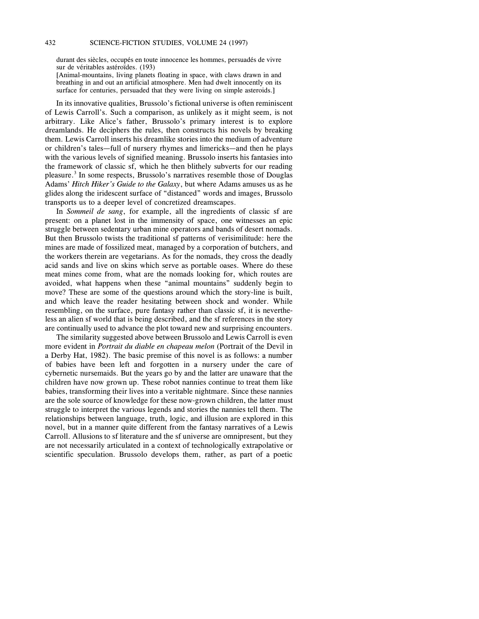durant des siècles, occupés en toute innocence les hommes, persuadés de vivre sur de véritables astéroïdes. (193)

[Animal-mountains, living planets floating in space, with claws drawn in and breathing in and out an artificial atmosphere. Men had dwelt innocently on its surface for centuries, persuaded that they were living on simple asteroids.]

In its innovative qualities, Brussolo's fictional universe is often reminiscent of Lewis Carroll's. Such a comparison, as unlikely as it might seem, is not arbitrary. Like Alice's father, Brussolo's primary interest is to explore dreamlands. He deciphers the rules, then constructs his novels by breaking them. Lewis Carroll inserts his dreamlike stories into the medium of adventure or children's tales—full of nursery rhymes and limericks—and then he plays with the various levels of signified meaning. Brussolo inserts his fantasies into the framework of classic sf, which he then blithely subverts for our reading pleasure.<sup>3</sup> In some respects, Brussolo's narratives resemble those of Douglas Adams' *Hitch Hiker's Guide to the Galaxy*, but where Adams amuses us as he glides along the iridescent surface of "distanced" words and images, Brussolo transports us to a deeper level of concretized dreamscapes.

In *Sommeil de sang*, for example, all the ingredients of classic sf are present: on a planet lost in the immensity of space, one witnesses an epic struggle between sedentary urban mine operators and bands of desert nomads. But then Brussolo twists the traditional sf patterns of verisimilitude: here the mines are made of fossilized meat, managed by a corporation of butchers, and the workers therein are vegetarians. As for the nomads, they cross the deadly acid sands and live on skins which serve as portable oases. Where do these meat mines come from, what are the nomads looking for, which routes are avoided, what happens when these "animal mountains" suddenly begin to move? These are some of the questions around which the story-line is built, and which leave the reader hesitating between shock and wonder. While resembling, on the surface, pure fantasy rather than classic sf, it is nevertheless an alien sf world that is being described, and the sf references in the story are continually used to advance the plot toward new and surprising encounters.

The similarity suggested above between Brussolo and Lewis Carroll is even more evident in *Portrait du diable en chapeau melon* (Portrait of the Devil in a Derby Hat, 1982). The basic premise of this novel is as follows: a number of babies have been left and forgotten in a nursery under the care of cybernetic nursemaids. But the years go by and the latter are unaware that the children have now grown up. These robot nannies continue to treat them like babies, transforming their lives into a veritable nightmare. Since these nannies are the sole source of knowledge for these now-grown children, the latter must struggle to interpret the various legends and stories the nannies tell them. The relationships between language, truth, logic, and illusion are explored in this novel, but in a manner quite different from the fantasy narratives of a Lewis Carroll. Allusions to sf literature and the sf universe are omnipresent, but they are not necessarily articulated in a context of technologically extrapolative or scientific speculation. Brussolo develops them, rather, as part of a poetic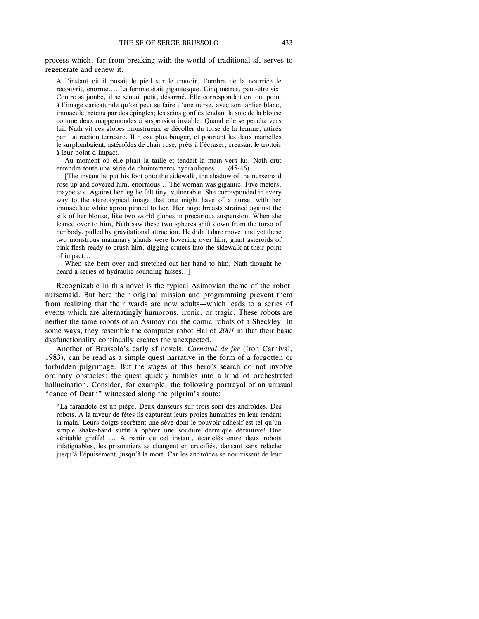process which, far from breaking with the world of traditional sf, serves to regenerate and renew it.

A l'instant où il posait le pied sur le trottoir, l'ombre de la nourrice le recouvrit, énorme.... La femme était gigantesque. Cinq mètres, peut-être six. Contre sa jambe, il se sentait petit, désarmé. Elle correspondait en tout point à l'image caricaturale qu'on peut se faire d'une nurse, avec son tablier blanc, immaculé, retenu par des épingles; les seins gonflés tendant la soie de la blouse comme deux mappemondes à suspension instable. Quand elle se pencha vers lui, Nath vit ces globes monstrueux se décoller du torse de la femme, attirés par l'attraction terrestre. Il n'osa plus bouger, et pourtant les deux mamelles le surplombaient, astéroïdes de chair rose, prêts à l'écraser, creusant le trottoir à leur point d'impact.

Au moment où elle pliait la taille et tendait la main vers lui, Nath crut entendre toute une série de chuintements hydrauliques.... (45-46)

[The instant he put his foot onto the sidewalk, the shadow of the nursemaid rose up and covered him, enormous... The woman was gigantic. Five meters, maybe six. Against her leg he felt tiny, vulnerable. She corresponded in every way to the stereotypical image that one might have of a nurse, with her immaculate white apron pinned to her. Her huge breasts strained against the silk of her blouse, like two world globes in precarious suspension. When she leaned over to him, Nath saw these two spheres shift down from the torso of her body, pulled by gravitational attraction. He didn't dare move, and yet these two monstrous mammary glands were hovering over him, giant asteroids of pink flesh ready to crush him, digging craters into the sidewalk at their point of impact...

When she bent over and stretched out her hand to him, Nath thought he heard a series of hydraulic-sounding hisses...]

Recognizable in this novel is the typical Asimovian theme of the robotnursemaid. But here their original mission and programming prevent them from realizing that their wards are now adults—which leads to a series of events which are alternatingly humorous, ironic, or tragic. These robots are neither the tame robots of an Asimov nor the comic robots of a Sheckley. In some ways, they resemble the computer-robot Hal of *2001* in that their basic dysfunctionality continually creates the unexpected.

Another of Brussolo's early sf novels, *Carnaval de fer* (Iron Carnival, 1983), can be read as a simple quest narrative in the form of a forgotten or forbidden pilgrimage. But the stages of this hero's search do not involve ordinary obstacles: the quest quickly tumbles into a kind of orchestrated hallucination. Consider, for example, the following portrayal of an unusual "dance of Death" witnessed along the pilgrim's route:

"La farandole est un piège. Deux danseurs sur trois sont des androïdes. Des robots. A la faveur de fêtes ils capturent leurs proies humaines en leur tendant la main. Leurs doigts secrètent une sève dont le pouvoir adhésif est tel qu'un simple shake-hand suffit à opérer une soudure dermique définitive! Une véritable greffe! ... A partir de cet instant, écartelés entre deux robots infatiguables, les prisonniers se changent en crucifiés, dansant sans relâche jusqu'à l'épuisement, jusqu'à la mort. Car les androïdes se nourrissent de leur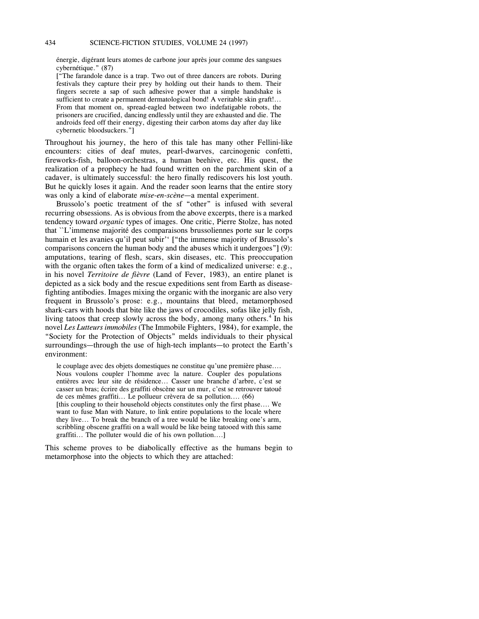énergie, digérant leurs atomes de carbone jour après jour comme des sangsues cybernétique." (87)

["The farandole dance is a trap. Two out of three dancers are robots. During festivals they capture their prey by holding out their hands to them. Their fingers secrete a sap of such adhesive power that a simple handshake is sufficient to create a permanent dermatological bond! A veritable skin graft!... From that moment on, spread-eagled between two indefatigable robots, the prisoners are crucified, dancing endlessly until they are exhausted and die. The androids feed off their energy, digesting their carbon atoms day after day like cybernetic bloodsuckers."]

Throughout his journey, the hero of this tale has many other Fellini-like encounters: cities of deaf mutes, pearl-dwarves, carcinogenic confetti, fireworks-fish, balloon-orchestras, a human beehive, etc. His quest, the realization of a prophecy he had found written on the parchment skin of a cadaver, is ultimately successful: the hero finally rediscovers his lost youth. But he quickly loses it again. And the reader soon learns that the entire story was only a kind of elaborate *mise-en-scène*—a mental experiment.

Brussolo's poetic treatment of the sf "other" is infused with several recurring obsessions. As is obvious from the above excerpts, there is a marked tendency toward *organic* types of images. One critic, Pierre Stolze, has noted that ``L'immense majorité des comparaisons brussoliennes porte sur le corps humain et les avanies qu'il peut subir'' ["the immense majority of Brussolo's comparisons concern the human body and the abuses which it undergoes"] (9): amputations, tearing of flesh, scars, skin diseases, etc. This preoccupation with the organic often takes the form of a kind of medicalized universe: e.g., in his novel *Territoire de fièvre* (Land of Fever, 1983), an entire planet is depicted as a sick body and the rescue expeditions sent from Earth as diseasefighting antibodies. Images mixing the organic with the inorganic are also very frequent in Brussolo's prose: e.g., mountains that bleed, metamorphosed shark-cars with hoods that bite like the jaws of crocodiles, sofas like jelly fish, living tatoos that creep slowly across the body, among many others.<sup>4</sup> In his novel *Les Lutteurs immobiles* (The Immobile Fighters, 1984), for example, the "Society for the Protection of Objects" melds individuals to their physical surroundings—through the use of high-tech implants—to protect the Earth's environment:

le couplage avec des objets domestiques ne constitue qu'une première phase.... Nous voulons coupler l'homme avec la nature. Coupler des populations entières avec leur site de résidence... Casser une branche d'arbre, c'est se casser un bras; écrire des graffiti obscène sur un mur, c'est se retrouver tatoué de ces mêmes graffiti... Le pollueur crèvera de sa pollution.... (66) [this coupling to their household objects constitutes only the first phase.... We want to fuse Man with Nature, to link entire populations to the locale where they live... To break the branch of a tree would be like breaking one's arm, scribbling obscene graffiti on a wall would be like being tatooed with this same graffiti... The polluter would die of his own pollution....]

This scheme proves to be diabolically effective as the humans begin to metamorphose into the objects to which they are attached: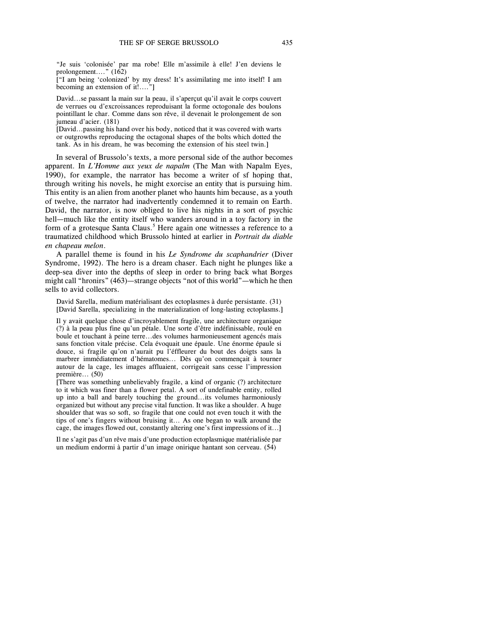"Je suis 'colonisée' par ma robe! Elle m'assimile à elle! J'en deviens le prolongement...." (162)

["I am being 'colonized' by my dress! It's assimilating me into itself! I am becoming an extension of it!...."]

David...se passant la main sur la peau, il s'aperçut qu'il avait le corps couvert de verrues ou d'excroissances reproduisant la forme octogonale des boulons pointillant le char. Comme dans son rêve, il devenait le prolongement de son jumeau d'acier. (181)

[David...passing his hand over his body, noticed that it was covered with warts or outgrowths reproducing the octagonal shapes of the bolts which dotted the tank. As in his dream, he was becoming the extension of his steel twin.]

In several of Brussolo's texts, a more personal side of the author becomes apparent. In *L'Homme aux yeux de napalm* (The Man with Napalm Eyes, 1990), for example, the narrator has become a writer of sf hoping that, through writing his novels, he might exorcise an entity that is pursuing him. This entity is an alien from another planet who haunts him because, as a youth of twelve, the narrator had inadvertently condemned it to remain on Earth. David, the narrator, is now obliged to live his nights in a sort of psychic hell—much like the entity itself who wanders around in a toy factory in the form of a grotesque Santa Claus.<sup>5</sup> Here again one witnesses a reference to a traumatized childhood which Brussolo hinted at earlier in *Portrait du diable en chapeau melon*.

A parallel theme is found in his *Le Syndrome du scaphandrier* (Diver Syndrome, 1992). The hero is a dream chaser. Each night he plunges like a deep-sea diver into the depths of sleep in order to bring back what Borges might call "hronirs" (463)—strange objects "not of this world"—which he then sells to avid collectors.

David Sarella, medium matérialisant des ectoplasmes à durée persistante. (31) [David Sarella, specializing in the materialization of long-lasting ectoplasms.]

Il y avait quelque chose d'incroyablement fragile, une architecture organique (?) à la peau plus fine qu'un pétale. Une sorte d'être indéfinissable, roulé en boule et touchant à peine terre...des volumes harmonieusement agencés mais sans fonction vitale précise. Cela évoquait une épaule. Une énorme épaule si douce, si fragile qu'on n'aurait pu l'éffleurer du bout des doigts sans la marbrer immédiatement d'hématomes... Dès qu'on commençait à tourner autour de la cage, les images affluaient, corrigeait sans cesse l'impression première... (50)

[There was something unbelievably fragile, a kind of organic (?) architecture to it which was finer than a flower petal. A sort of undefinable entity, rolled up into a ball and barely touching the ground...its volumes harmoniously organized but without any precise vital function. It was like a shoulder. A huge shoulder that was so soft, so fragile that one could not even touch it with the tips of one's fingers without bruising it... As one began to walk around the cage, the images flowed out, constantly altering one's first impressions of it...]

Il ne s'agit pas d'un rêve mais d'une production ectoplasmique matérialisée par un medium endormi à partir d'un image onirique hantant son cerveau. (54)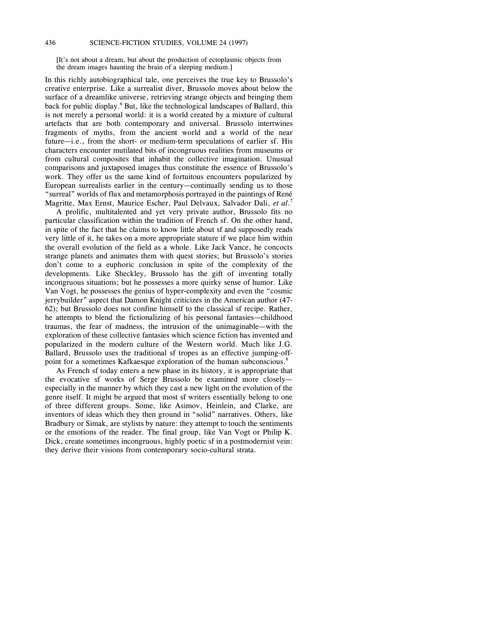### 436 SCIENCE-FICTION STUDIES, VOLUME 24 (1997)

[It's not about a dream, but about the production of ectoplasmic objects from the dream images haunting the brain of a sleeping medium.]

In this richly autobiographical tale, one perceives the true key to Brussolo's creative enterprise. Like a surrealist diver, Brussolo moves about below the surface of a dreamlike universe, retrieving strange objects and bringing them back for public display. <sup>6</sup> But, like the technological landscapes of Ballard, this is not merely a personal world: it is a world created by a mixture of cultural artefacts that are both contemporary and universal. Brussolo intertwines fragments of myths, from the ancient world and a world of the near future—i.e., from the short- or medium-term speculations of earlier sf. His characters encounter mutilated bits of incongruous realities from museums or from cultural composites that inhabit the collective imagination. Unusual comparisons and juxtaposed images thus constitute the essence of Brussolo's work. They offer us the same kind of fortuitous encounters popularized by European surrealists earlier in the century—continually sending us to those "surreal" worlds of flux and metamorphosis portrayed in the paintings of René Magritte, Max Ernst, Maurice Escher, Paul Delvaux, Salvador Dali, *et al*. 7

A prolific, multitalented and yet very private author, Brussolo fits no particular classification within the tradition of French sf. On the other hand, in spite of the fact that he claims to know little about sf and supposedly reads very little of it, he takes on a more appropriate stature if we place him within the overall evolution of the field as a whole. Like Jack Vance, he concocts strange planets and animates them with quest stories; but Brussolo's stories don't come to a euphoric conclusion in spite of the complexity of the developments. Like Sheckley, Brussolo has the gift of inventing totally incongruous situations; but he possesses a more quirky sense of humor. Like Van Vogt, he possesses the genius of hyper-complexity and even the "cosmic jerrybuilder" aspect that Damon Knight criticizes in the American author (47- 62); but Brussolo does not confine himself to the classical sf recipe. Rather, he attempts to blend the fictionalizing of his personal fantasies—childhood traumas, the fear of madness, the intrusion of the unimaginable—with the exploration of these collective fantasies which science fiction has invented and popularized in the modern culture of the Western world. Much like J.G. Ballard, Brussolo uses the traditional sf tropes as an effective jumping-offpoint for a sometimes Kafkaesque exploration of the human subconscious.<sup>8</sup>

As French sf today enters a new phase in its history, it is appropriate that the evocative sf works of Serge Brussolo be examined more closely especially in the manner by which they cast a new light on the evolution of the genre itself. It might be argued that most sf writers essentially belong to one of three different groups. Some, like Asimov, Heinlein, and Clarke, are inventors of ideas which they then ground in "solid" narratives. Others, like Bradbury or Simak, are stylists by nature: they attempt to touch the sentiments or the emotions of the reader. The final group, like Van Vogt or Philip K. Dick, create sometimes incongruous, highly poetic sf in a postmodernist vein: they derive their visions from contemporary socio-cultural strata.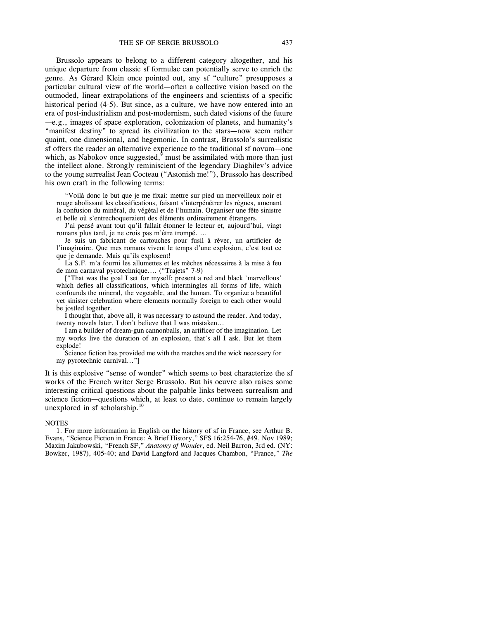Brussolo appears to belong to a different category altogether, and his unique departure from classic sf formulae can potentially serve to enrich the genre. As Gérard Klein once pointed out, any sf "culture" presupposes a particular cultural view of the world—often a collective vision based on the outmoded, linear extrapolations of the engineers and scientists of a specific historical period (4-5). But since, as a culture, we have now entered into an era of post-industrialism and post-modernism, such dated visions of the future —e.g., images of space exploration, colonization of planets, and humanity's "manifest destiny" to spread its civilization to the stars—now seem rather quaint, one-dimensional, and hegemonic. In contrast, Brussolo's surrealistic sf offers the reader an alternative experience to the traditional sf novum—one which, as Nabokov once suggested, $9$  must be assimilated with more than just the intellect alone. Strongly reminiscient of the legendary Diaghilev's advice to the young surrealist Jean Cocteau ("Astonish me!"), Brussolo has described his own craft in the following terms:

"Voilà donc le but que je me fixai: mettre sur pied un merveilleux noir et rouge abolissant les classifications, faisant s'interpénétrer les règnes, amenant la confusion du minéral, du végétal et de l'humain. Organiser une fête sinistre et belle où s'entrechoqueraient des éléments ordinairement étrangers.

J'ai pensé avant tout qu'il fallait étonner le lecteur et, aujourd'hui, vingt romans plus tard, je ne crois pas m'être trompé. ...

Je suis un fabricant de cartouches pour fusil à rêver, un artificier de l'imaginaire. Que mes romans vivent le temps d'une explosion, c'est tout ce que je demande. Mais qu'ils explosent!

La S.F. m'a fourni les allumettes et les mèches nécessaires à la mise à feu de mon carnaval pyrotechnique.... ("Trajets" 7-9)

["That was the goal I set for myself: present a red and black `marvellous' which defies all classifications, which intermingles all forms of life, which confounds the mineral, the vegetable, and the human. To organize a beautiful yet sinister celebration where elements normally foreign to each other would be jostled together.

I thought that, above all, it was necessary to astound the reader. And today, twenty novels later, I don't believe that I was mistaken...

I am a builder of dream-gun cannonballs, an artificer of the imagination. Let my works live the duration of an explosion, that's all I ask. But let them explode!

Science fiction has provided me with the matches and the wick necessary for my pyrotechnic carnival..."]

It is this explosive "sense of wonder" which seems to best characterize the sf works of the French writer Serge Brussolo. But his oeuvre also raises some interesting critical questions about the palpable links between surrealism and science fiction—questions which, at least to date, continue to remain largely unexplored in sf scholarship.<sup>10</sup>

#### **NOTES**

1. For more information in English on the history of sf in France, see Arthur B. Evans, "Science Fiction in France: A Brief History," SFS 16:254-76, #49, Nov 1989; Maxim Jakubowski, "French SF," *Anatomy of Wonder*, ed. Neil Barron, 3rd ed. (NY: Bowker, 1987), 405-40; and David Langford and Jacques Chambon, "France," *The*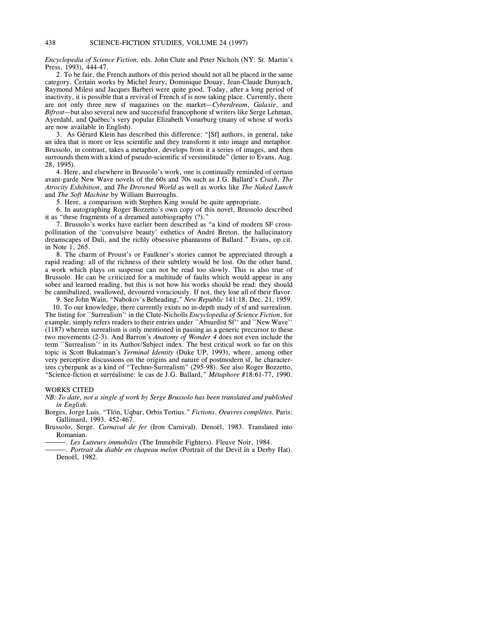*Encyclopedia of Science Fiction,* eds. John Clute and Peter Nichols (NY: St. Martin's Press, 1993), 444-47.

2. To be fair, the French authors of this period should not all be placed in the same category. Certain works by Michel Jeury, Dominique Douay, Jean-Claude Dunyach, Raymond Milesi and Jacques Barberi were quite good. Today, after a long period of inactivity, it is possible that a revival of French sf is now taking place. Currently, there are not only three new sf magazines on the market—*Cyberdream*, *Galaxie*, and *Bifrost*—but also several new and successful francophone sf writers like Serge Lehman, Ayerdahl, and Québec's very popular Elizabeth Vonarburg (many of whose sf works are now available in English).

3. As Gérard Klein has described this difference: "[Sf] authors, in general, take an idea that is more or less scientific and they transform it into image and metaphor. Brussolo, in contrast, takes a metaphor, develops from it a series of images, and then surrounds them with a kind of pseudo-scientific sf versimilitude" (letter to Evans, Aug. 28, 1995).

4. Here, and elsewhere in Brussolo's work, one is continually reminded of certain avant-garde New Wave novels of the 60s and 70s such as J.G. Ballard's *Crash*, *The Atrocity Exhibition*, and *The Drowned World* as well as works like *The Naked Lunch* and *The Soft Machine* by William Burroughs.

5. Here, a comparison with Stephen King would be quite appropriate.

6. In autographing Roger Bozzetto's own copy of this novel, Brussolo described it as "these fragments of a dreamed autobiography (?)."

7. Brussolo's works have earlier been described as "a kind of modern SF crosspollination of the 'convulsive beauty' esthetics of André Breton, the hallucinatory dreamscapes of Dali, and the richly obsessive phantasms of Ballard." Evans, op.cit. in Note 1, 265.

8. The charm of Proust's or Faulkner's stories cannot be appreciated through a rapid reading: all of the richness of their subtlety would be lost. On the other hand, a work which plays on suspense can not be read too slowly. This is also true of Brussolo. He can be criticized for a multitude of faults which would appear in any sober and learned reading, but this is not how his works should be read: they should be cannibalized, swallowed, devoured voraciously. If not, they lose all of their flavor.

9. See John Wain, "Nabokov's Beheading," *New Republic* 141:18, Dec. 21, 1959.

10. To our knowledge, there currently exists no in-depth study of sf and surrealism. The listing for ``Surrealism'' in the Clute-Nicholls *Encyclopedia of Science Fiction*, for example, simply refers readers to their entries under ``Absurdist Sf'' and ``New Wave'' (1187) wherein surrealism is only mentioned in passing as a generic precursor to these two movements (2-3). And Barron's *Anatomy of Wonder 4* does not even include the term ``Surrealism'' in its Author/Subject index. The best critical work so far on this topic is Scott Bukatman's *Terminal Identity* (Duke UP, 1993), where, among other very perceptive discussions on the origins and nature of postmodern sf, he characterizes cyberpunk as a kind of "Techno-Surrealism" (295-98). See also Roger Bozzetto, "Science-fiction et surréalisme: le cas de J.G. Ballard," *Métaphore* #18:61-77, 1990.

#### WORKS CITED

*NB: To date, not a single sf work by Serge Brussolo has been translated and published in English.*

Borges, Jorge Luis. "Tlön, Uqbar, Orbis Tertius." *Fictions*. *Oeuvres complètes.* Paris: Gallimard, 1993. 452-467.

Brussolo, Serge. *Carnaval de fer* (Iron Carnival). Denoël, 1983. Translated into Romanian.

))))). *Les Lutteurs immobiles* (The Immobile Fighters). Fleuve Noir, 1984.

))))). *Portrait du diable en chapeau melon* (Portrait of the Devil in a Derby Hat). Denoël, 1982.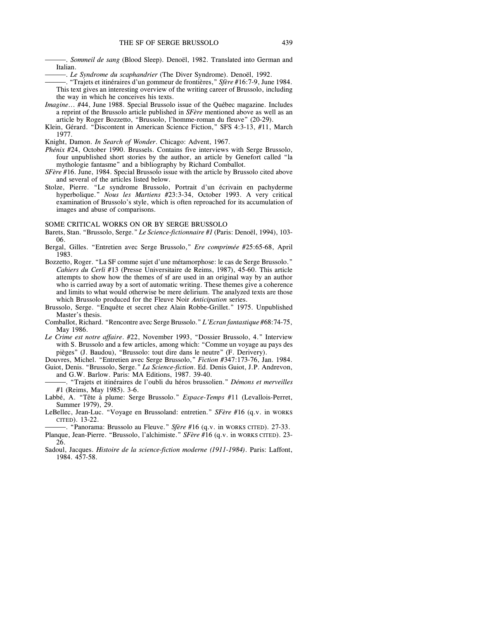))))). *Sommeil de sang* (Blood Sleep). Denoël, 1982. Translated into German and Italian.

- ))))). *Le Syndrome du scaphandrier* (The Diver Syndrome). Denoël, 1992.
- ))))). "Trajets et itinéraires d'un gommeur de frontières," *Sfère* #16:7-9, June 1984. This text gives an interesting overview of the writing career of Brussolo, including the way in which he conceives his texts.
- *Imagine...* #44, June 1988. Special Brussolo issue of the Québec magazine. Includes a reprint of the Brussolo article published in *SFère* mentioned above as well as an article by Roger Bozzetto, "Brussolo, l'homme-roman du fleuve" (20-29).
- Klein, Gérard. "Discontent in American Science Fiction," SFS 4:3-13, #11, March 1977.

Knight, Damon. *In Search of Wonder*. Chicago: Advent, 1967.

- *Phénix* #24, October 1990. Brussels. Contains five interviews with Serge Brussolo, four unpublished short stories by the author, an article by Genefort called "la mythologie fantasme" and a bibliography by Richard Comballot.
- *SFère* #16. June, 1984. Special Brussolo issue with the article by Brussolo cited above and several of the articles listed below.
- Stolze, Pierre. "Le syndrome Brussolo, Portrait d'un écrivain en pachyderme hyperbolique." *Nous les Martiens* #23:3-34, October 1993. A very critical examination of Brussolo's style, which is often reproached for its accumulation of images and abuse of comparisons.

SOME CRITICAL WORKS ON OR BY SERGE BRUSSOLO

- Barets, Stan. "Brussolo, Serge." *Le Science-fictionnaire #1* (Paris: Denoël, 1994), 103- 06.
- Bergal, Gilles. "Entretien avec Serge Brussolo," *Ere comprimée* #25:65-68, April 1983.
- Bozzetto, Roger. "La SF comme sujet d'une métamorphose: le cas de Serge Brussolo." *Cahiers du Cerli* #13 (Presse Universitaire de Reims, 1987), 45-60. This article attempts to show how the themes of sf are used in an original way by an author who is carried away by a sort of automatic writing. These themes give a coherence and limits to what would otherwise be mere delirium. The analyzed texts are those which Brussolo produced for the Fleuve Noir *Anticipation* series.
- Brussolo, Serge. "Enquête et secret chez Alain Robbe-Grillet." 1975. Unpublished Master's thesis.
- Comballot, Richard. "Rencontre avec Serge Brussolo." *L'Ecran fantastique* #68:74-75, May 1986.
- *Le Crime est notre affaire*. #22, November 1993, "Dossier Brussolo, 4." Interview with S. Brussolo and a few articles, among which: "Comme un voyage au pays des pièges" (J. Baudou), "Brussolo: tout dire dans le neutre" (F. Derivery).

Douvres, Michel. "Entretien avec Serge Brussolo," *Fiction* #347:173-76, Jan. 1984. Guiot, Denis. "Brussolo, Serge." *La Science-fiction*. Ed. Denis Guiot, J.P. Andrevon,

and G.W. Barlow. Paris: MA Editions, 1987. 39-40.

- ))))). "Trajets et itinéraires de l'oubli du héros brussolien." *Démons et merveilles* #1 (Reims, May 1985). 3-6.
- Labbé, A. "Tête à plume: Serge Brussolo." *Espace-Temps* #11 (Levallois-Perret, Summer 1979), 29.
- LeBellec, Jean-Luc. "Voyage en Brussoland: entretien." *SFère* #16 (q.v. in WORKS CITED). 13-22.

))))). "Panorama: Brussolo au Fleuve." *Sfère* #16 (q.v. in WORKS CITED). 27-33. Planque, Jean-Pierre. "Brussolo, l'alchimiste." *SFère* #16 (q.v. in WORKS CITED). 23- 26.

Sadoul, Jacques. *Histoire de la science-fiction moderne (1911-1984)*. Paris: Laffont, 1984. 457-58.